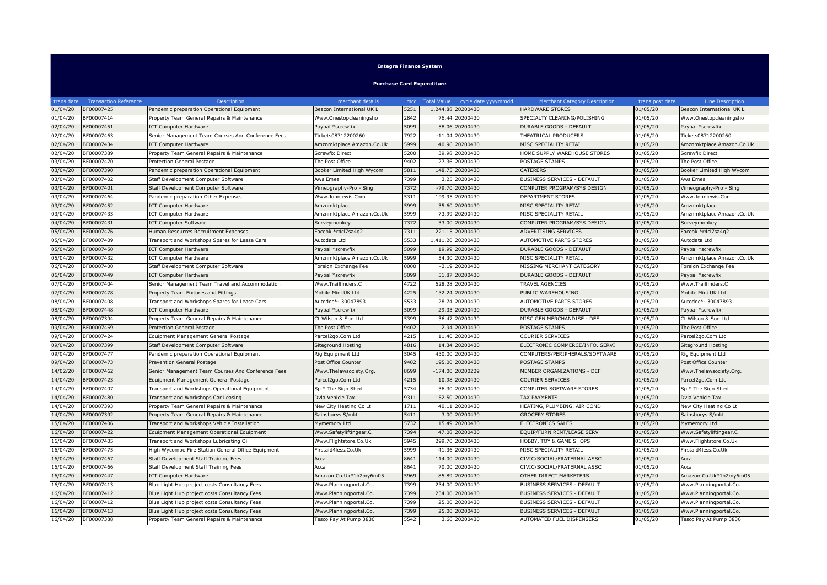## **Integra Finance System**

**Purchase Card Expenditure**

| trans date | <b>Transaction Reference</b> | Description                                        | merchant details          |      | mcc Total Value | cycle date yyyymmdd | <b>Merchant Category Description</b> | trans post date      | <b>Line Description</b>   |
|------------|------------------------------|----------------------------------------------------|---------------------------|------|-----------------|---------------------|--------------------------------------|----------------------|---------------------------|
| 01/04/20   | BF00007425                   | Pandemic preparation Operational Equipment         | Beacon International UK L | 5251 | 1,244.88        | 20200430            | HARDWARE STORES                      | 01/05/20             | Beacon International UK L |
| 01/04/20   | BF00007414                   | Property Team General Repairs & Maintenance        | Www.Onestopcleaningsho    | 2842 | 76.44           | 20200430            | SPECIALTY CLEANING/POLISHING         | 01/05/20             | Www.Onestopcleaningsho    |
| 02/04/20   | BF00007451                   | <b>ICT Computer Hardware</b>                       | Paypal *screwfix          | 5099 | 58.06           | 20200430            | DURABLE GOODS - DEFAULT              | 01/05/20             | Paypal *screwfix          |
| 02/04/20   | BF00007463                   | Senior Management Team Courses And Conference Fees | Tickets08712200260        | 7922 | $-11.04$        | 20200430            | THEATRICAL PRODUCERS                 | 01/05/20             | Tickets08712200260        |
| 02/04/20   | BF00007434                   | <b>ICT Computer Hardware</b>                       | Amznmktplace Amazon.Co.Uk | 5999 | 40.96           | 20200430            | MISC SPECIALITY RETAIL               | 01/05/20             | Amznmktplace Amazon.Co.Uk |
| 02/04/20   | BF00007389                   | Property Team General Repairs & Maintenance        | <b>Screwfix Direct</b>    | 5200 | 39.98           | 20200430            | HOME SUPPLY WAREHOUSE STORES         | 01/05/20             | <b>Screwfix Direct</b>    |
| 03/04/20   | BF00007470                   | Protection General Postage                         | The Post Office           | 9402 | 27.36           | 20200430            | POSTAGE STAMPS                       | 01/05/20             | The Post Office           |
| 03/04/20   | BF00007390                   | andemic preparation Operational Equipment          | Booker Limited High Wycom | 5811 | 148.75          | 20200430            | CATERERS                             | 01/05/20             | Booker Limited High Wycom |
| 03/04/20   | BF00007402                   | Staff Development Computer Software                | Aws Emea                  | 7399 |                 | 3.25 20200430       | BUSINESS SERVICES - DEFAULT          | 01/05/20             | Aws Emea                  |
| 03/04/20   | BF00007401                   | Staff Development Computer Software                | Vimeography-Pro - Sing    | 7372 |                 | -79.70 20200430     | COMPUTER PROGRAM/SYS DESIGN          | 01/05/20             | Vimeography-Pro - Sing    |
| 03/04/20   | BF00007464                   | Pandemic preparation Other Expenses                | Www.Johnlewis.Com         | 5311 | 199.95          | 20200430            | <b>DEPARTMENT STORES</b>             | $\frac{1}{01}/05/20$ | Www.Johnlewis.Com         |
| 03/04/20   | BF00007452                   | <b>ICT Computer Hardware</b>                       | Amznmktplace              | 5999 |                 | 35.60 20200430      | MISC SPECIALITY RETAIL               | 01/05/20             | Amznmktplace              |
| 03/04/20   | BF00007433                   | <b>ICT Computer Hardware</b>                       | Amznmktplace Amazon.Co.Uk | 5999 |                 | 73.99 20200430      | MISC SPECIALITY RETAIL               | 01/05/20             | Amznmktplace Amazon.Co.Uk |
| 04/04/20   | BF00007431                   | <b>ICT Computer Software</b>                       | Surveymonkey              | 7372 |                 | 33.00 20200430      | COMPUTER PROGRAM/SYS DESIGN          | 01/05/20             | Surveymonkey              |
| 05/04/20   | BF00007476                   | Human Resources Recruitment Expenses               | Facebk *r4cl7sa4q2        | 7311 | 221.15          | 20200430            | ADVERTISING SERVICES                 | 01/05/20             | Facebk *r4cl7sa4q2        |
| 05/04/20   | BF00007409                   | Transport and Workshops Spares for Lease Cars      | Autodata Ltd              | 5533 |                 | 1,411.20 20200430   | AUTOMOTIVE PARTS STORES              | 01/05/20             | Autodata Ltd              |
| 05/04/20   | BF00007450                   | <b>ICT Computer Hardware</b>                       | Paypal *screwfix          | 5099 | 19.99           | 20200430            | DURABLE GOODS - DEFAULT              | 01/05/20             | Paypal *screwfix          |
| 05/04/20   | BF00007432                   | <b>ICT Computer Hardware</b>                       | Amznmktplace Amazon.Co.Uk | 5999 |                 | 54.30 20200430      | MISC SPECIALITY RETAIL               | 01/05/20             | Amznmktplace Amazon.Co.Uk |
| 06/04/20   | BF00007400                   | Staff Development Computer Software                | Foreign Exchange Fee      | 0000 | $-2.19$         | 20200430            | MISSING MERCHANT CATEGORY            | 01/05/20             | Foreign Exchange Fee      |
| 06/04/20   | BF00007449                   | <b>ICT Computer Hardware</b>                       | Paypal *screwfix          | 5099 | 51.87           | 20200430            | DURABLE GOODS - DEFAULT              | 01/05/20             | Paypal *screwfix          |
| 07/04/20   | BF00007404                   | Senior Management Team Travel and Accommodation    | Www.Trailfinders.C        | 4722 |                 | 628.28 20200430     | TRAVEL AGENCIES                      | 01/05/20             | Www.Trailfinders.C        |
| 07/04/20   | BF00007478                   | Property Team Fixtures and Fittings                | Mobile Mini UK Ltd        | 4225 | 132.24          | 20200430            | PUBLIC WAREHOUSING                   | 01/05/20             | Mobile Mini UK Ltd        |
| 08/04/20   | BF00007408                   | Transport and Workshops Spares for Lease Cars      | Autodoc*- 30047893        | 5533 | 28.74           | 20200430            | AUTOMOTIVE PARTS STORES              | 01/05/20             | Autodoc*- 30047893        |
| 08/04/20   | BF00007448                   | CT Computer Hardware                               | Paypal *screwfix          | 5099 | 29.33           | 20200430            | DURABLE GOODS - DEFAULT              | 01/05/20             | Paypal *screwfix          |
| 08/04/20   | BF00007394                   | Property Team General Repairs & Maintenance        | Ct Wilson & Son Ltd       | 5399 | 36.47           | 20200430            | MISC GEN MERCHANDISE - DEF           | 01/05/20             | Ct Wilson & Son Ltd       |
| 09/04/20   | BF00007469                   | Protection General Postage                         | The Post Office           | 9402 | 2.94            | 20200430            | POSTAGE STAMPS                       | 01/05/20             | The Post Office           |
| 09/04/20   | BF00007424                   | Equipment Management General Postage               | Parcel2go.Com Ltd         | 4215 |                 | 11.40 20200430      | COURIER SERVICES                     | 01/05/20             | Parcel2go.Com Ltd         |
| 09/04/20   | BF00007399                   | Staff Development Computer Software                | Siteground Hosting        | 4816 | 14.34           | 20200430            | ELECTRONIC COMMERCE/INFO. SERVI      | 01/05/20             | Siteground Hosting        |
| 09/04/20   | BF00007477                   | Pandemic preparation Operational Equipment         | Rig Equipment Ltd         | 5045 |                 | 430.00 20200430     | COMPUTERS/PERIPHERALS/SOFTWARE       | 01/05/20             | Rig Equipment Ltd         |
| 09/04/20   | BF00007473                   | Prevention General Postage                         | Post Office Counter       | 9402 |                 | 195.00 20200430     | POSTAGE STAMPS                       | 01/05/20             | Post Office Counter       |
| 14/02/20   | BF00007462                   | Senior Management Team Courses And Conference Fees | Www.Thelawsociety.Org.    | 8699 |                 | -174.00 20200229    | MEMBER ORGANIZATIONS - DEF           | 01/05/20             | Www.Thelawsociety.Org.    |
| 14/04/20   | BF00007423                   | Equipment Management General Postage               | Parcel2go.Com Ltd         | 4215 | 10.98           | 20200430            | COURIER SERVICES                     | 01/05/20             | Parcel2go.Com Ltd         |
| 14/04/20   | BF00007407                   | Transport and Workshops Operational Equipment      | Sp * The Sign Shed        | 5734 |                 | 36.30 20200430      | COMPUTER SOFTWARE STORES             | 01/05/20             | Sp * The Sign Shed        |
| 14/04/20   | BF00007480                   | Transport and Workshops Car Leasing                | Dvla Vehicle Tax          | 9311 |                 | 152.50 20200430     | <b>TAX PAYMENTS</b>                  | 01/05/20             | Dvla Vehicle Tax          |
| 14/04/20   | BF00007393                   | Property Team General Repairs & Maintenance        | New City Heating Co Lt    | 1711 | 40.11           | 20200430            | HEATING, PLUMBING, AIR COND          | 01/05/20             | New City Heating Co Lt    |
| 14/04/20   | BF00007392                   | Property Team General Repairs & Maintenance        | Sainsburys S/mkt          | 5411 | 3.00            | 20200430            | <b>GROCERY STORES</b>                | 01/05/20             | Sainsburys S/mkt          |
| 15/04/20   | BF00007406                   | Transport and Workshops Vehicle Installation       | Mymemory Ltd              | 5732 | 15.49           | 20200430            | <b>ELECTRONICS SALES</b>             | 01/05/20             | Mymemory Ltd              |
| 16/04/20   | BF00007422                   | Equipment Management Operational Equipment         | Www.Safetyliftingear.C    | 7394 |                 | 47.08 20200430      | EQUIP/FURN RENT/LEASE SERV           | 01/05/20             | Www.Safetyliftingear.C    |
| 16/04/20   | BF00007405                   | Transport and Workshops Lubricating Oil            | Www.Flightstore.Co.Uk     | 5945 | 299.70          | 20200430            | HOBBY, TOY & GAME SHOPS              | 01/05/20             | Www.Flightstore.Co.Uk     |
| 16/04/20   | BF00007475                   | ligh Wycombe Fire Station General Office Equipment | Firstaid4less.Co.Uk       | 5999 | 41.36           | 20200430            | MISC SPECIALITY RETAIL               | 01/05/20             | Firstaid4less.Co.Uk       |
| 16/04/20   | BF00007467                   | Staff Development Staff Training Fees              | Acca                      | 8641 | 114.00          | 20200430            | CIVIC/SOCIAL/FRATERNAL ASSC          | 01/05/20             | Acca                      |
| 16/04/20   | BF00007466                   | Staff Development Staff Training Fees              | Acca                      | 8641 | 70.00           | 20200430            | CIVIC/SOCIAL/FRATERNAL ASSC          | 01/05/20             | Acca                      |
| 16/04/20   | BF00007447                   | CT Computer Hardware                               | Amazon.Co.Uk*1h2my6m05    | 5969 | 85.89           | 20200430            | OTHER DIRECT MARKETERS               | 01/05/20             | Amazon.Co.Uk*1h2my6m05    |
| 16/04/20   | BF00007413                   | Blue Light Hub project costs Consultancy Fees      | Www.Planningportal.Co.    | 7399 |                 | 234.00 20200430     | BUSINESS SERVICES - DEFAULT          | 01/05/20             | Www.Planningportal.Co.    |
| 16/04/20   | BF00007412                   | Blue Light Hub project costs Consultancy Fees      | Www.Planningportal.Co.    | 7399 | 234.00          | 20200430            | <b>BUSINESS SERVICES - DEFAULT</b>   | 01/05/20             | Www.Planningportal.Co.    |
| 16/04/20   | BF00007412                   | Blue Light Hub project costs Consultancy Fees      | Www.Planningportal.Co.    | 7399 |                 | 25.00 20200430      | BUSINESS SERVICES - DEFAULT          | 01/05/20             | Www.Planningportal.Co.    |
| 16/04/20   | BF00007413                   | Blue Light Hub project costs Consultancy Fees      | Www.Planningportal.Co.    | 7399 |                 | 25.00 20200430      | <b>BUSINESS SERVICES - DEFAULT</b>   | 01/05/20             | Www.Planningportal.Co.    |
| 16/04/20   | BF00007388                   | Property Team General Repairs & Maintenance        | Tesco Pay At Pump 3836    | 5542 |                 | 3.66 20200430       | AUTOMATED FUEL DISPENSERS            | 01/05/20             | Tesco Pay At Pump 3836    |